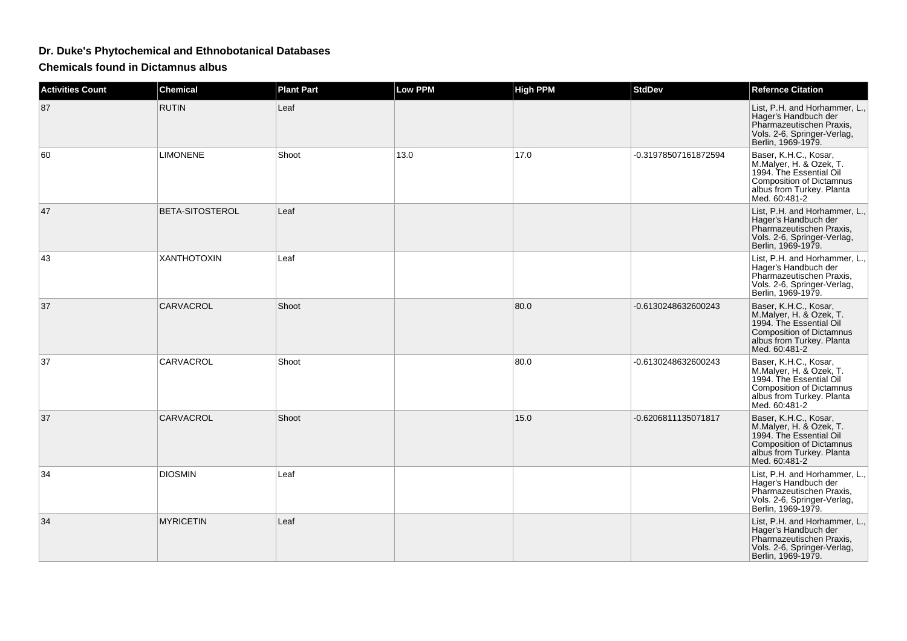## **Dr. Duke's Phytochemical and Ethnobotanical Databases**

**Chemicals found in Dictamnus albus**

| <b>Activities Count</b> | <b>Chemical</b>        | <b>Plant Part</b> | <b>Low PPM</b> | <b>High PPM</b> | <b>StdDev</b>        | <b>Refernce Citation</b>                                                                                                                                     |
|-------------------------|------------------------|-------------------|----------------|-----------------|----------------------|--------------------------------------------------------------------------------------------------------------------------------------------------------------|
| 87                      | <b>RUTIN</b>           | Leaf              |                |                 |                      | List, P.H. and Horhammer, L.,<br>Hager's Handbuch der<br>Pharmazeutischen Praxis,<br>Vols. 2-6, Springer-Verlag,<br>Berlin, 1969-1979.                       |
| 60                      | <b>LIMONENE</b>        | Shoot             | 13.0           | 17.0            | -0.31978507161872594 | Baser, K.H.C., Kosar,<br>M.Malyer, H. & Ozek, T.<br>1994. The Essential Oil<br>Composition of Dictamnus<br>albus from Turkey. Planta<br>Med. 60:481-2        |
| 47                      | <b>BETA-SITOSTEROL</b> | Leaf              |                |                 |                      | List, P.H. and Horhammer, L.,<br>Hager's Handbuch der<br>Pharmazeutischen Praxis,<br>Vols. 2-6, Springer-Verlag,<br>Berlin, 1969-1979.                       |
| 43                      | <b>XANTHOTOXIN</b>     | Leaf              |                |                 |                      | List, P.H. and Horhammer, L.,<br>Hager's Handbuch der<br>Pharmazeutischen Praxis,<br>Vols. 2-6, Springer-Verlag,<br>Berlin, 1969-1979.                       |
| 37                      | CARVACROL              | Shoot             |                | 80.0            | -0.6130248632600243  | Baser, K.H.C., Kosar,<br>M.Malyer, H. & Ozek, T.<br>1994. The Essential Oil<br><b>Composition of Dictamnus</b><br>albus from Turkey. Planta<br>Med. 60:481-2 |
| 37                      | CARVACROL              | Shoot             |                | 80.0            | -0.6130248632600243  | Baser, K.H.C., Kosar,<br>M.Malyer, H. & Ozek, T.<br>1994. The Essential Oil<br>Composition of Dictamnus<br>albus from Turkey. Planta<br>Med. 60:481-2        |
| 37                      | CARVACROL              | Shoot             |                | 15.0            | -0.6206811135071817  | Baser, K.H.C., Kosar,<br>M.Malyer, H. & Ozek, T.<br>1994. The Essential Oil<br><b>Composition of Dictamnus</b><br>albus from Turkey. Planta<br>Med. 60:481-2 |
| 34                      | <b>DIOSMIN</b>         | Leaf              |                |                 |                      | List, P.H. and Horhammer, L.,<br>Hager's Handbuch der<br>Pharmazeutischen Praxis,<br>Vols. 2-6, Springer-Verlag,<br>Berlin, 1969-1979.                       |
| 34                      | <b>MYRICETIN</b>       | Leaf              |                |                 |                      | List, P.H. and Horhammer, L.,<br>Hager's Handbuch der<br>Pharmazeutischen Praxis,<br>Vols. 2-6, Springer-Verlag,<br>Berlin, 1969-1979.                       |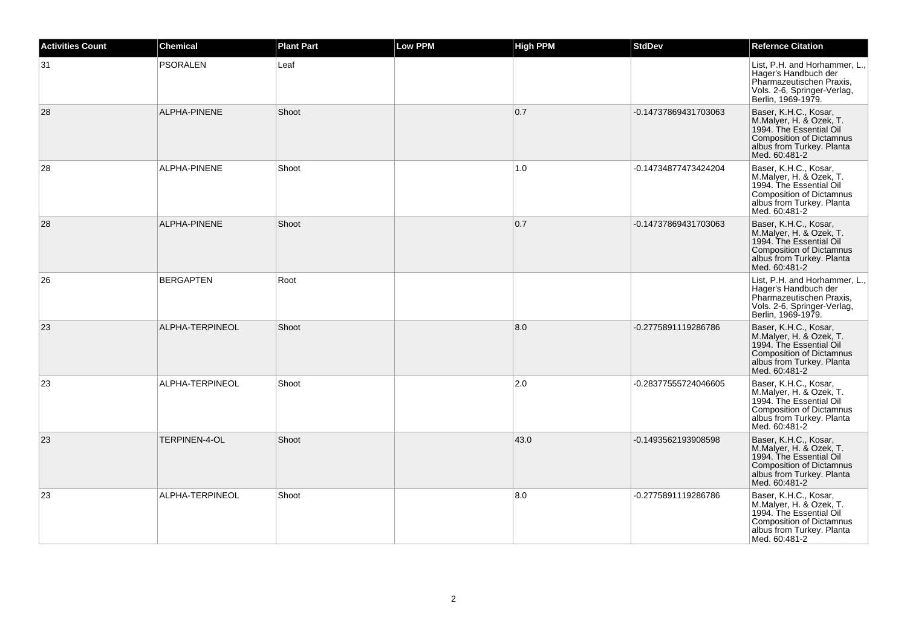| <b>Activities Count</b> | <b>Chemical</b>  | <b>Plant Part</b> | <b>Low PPM</b> | <b>High PPM</b> | <b>StdDev</b>        | <b>Refernce Citation</b>                                                                                                                                     |
|-------------------------|------------------|-------------------|----------------|-----------------|----------------------|--------------------------------------------------------------------------------------------------------------------------------------------------------------|
| 31                      | <b>PSORALEN</b>  | Leaf              |                |                 |                      | List, P.H. and Horhammer, L.,<br>Hager's Handbuch der<br>Pharmazeutischen Praxis,<br>Vols. 2-6, Springer-Verlag,<br>Berlin, 1969-1979.                       |
| 28                      | ALPHA-PINENE     | Shoot             |                | 0.7             | -0.14737869431703063 | Baser, K.H.C., Kosar,<br>M.Malyer, H. & Ozek, T.<br>1994. The Essential Oil<br><b>Composition of Dictamnus</b><br>albus from Turkey. Planta<br>Med. 60:481-2 |
| 28                      | ALPHA-PINENE     | Shoot             |                | 1.0             | -0.14734877473424204 | Baser, K.H.C., Kosar,<br>M.Malyer, H. & Ozek, T.<br>1994. The Essential Oil<br>Composition of Dictamnus<br>albus from Turkey. Planta<br>Med. 60:481-2        |
| 28                      | ALPHA-PINENE     | Shoot             |                | 0.7             | -0.14737869431703063 | Baser, K.H.C., Kosar,<br>M.Malyer, H. & Ozek, T.<br>1994. The Essential Oil<br>Composition of Dictamnus<br>albus from Turkey. Planta<br>Med. 60:481-2        |
| 26                      | <b>BERGAPTEN</b> | Root              |                |                 |                      | List, P.H. and Horhammer, L.,<br>Hager's Handbuch der<br>Pharmazeutischen Praxis,<br>Vols. 2-6, Springer-Verlag,<br>Berlin, 1969-1979.                       |
| 23                      | ALPHA-TERPINEOL  | Shoot             |                | 8.0             | -0.2775891119286786  | Baser, K.H.C., Kosar,<br>M.Malyer, H. & Ozek, T.<br>1994. The Essential Oil<br><b>Composition of Dictamnus</b><br>albus from Turkey. Planta<br>Med. 60:481-2 |
| 23                      | ALPHA-TERPINEOL  | Shoot             |                | 2.0             | -0.28377555724046605 | Baser, K.H.C., Kosar,<br>M.Malyer, H. & Ozek, T.<br>1994. The Essential Oil<br>Composition of Dictamnus<br>albus from Turkey. Planta<br>Med. 60:481-2        |
| 23                      | TERPINEN-4-OL    | Shoot             |                | 43.0            | -0.1493562193908598  | Baser, K.H.C., Kosar,<br>M.Malyer, H. & Ozek, T.<br>1994. The Essential Oil<br>Composition of Dictamnus<br>albus from Turkey. Planta<br>Med. 60:481-2        |
| 23                      | ALPHA-TERPINEOL  | Shoot             |                | 8.0             | -0.2775891119286786  | Baser, K.H.C., Kosar,<br>M.Malyer, H. & Ozek, T.<br>1994. The Essential Oil<br>Composition of Dictamnus<br>albus from Turkey. Planta<br>Med. 60:481-2        |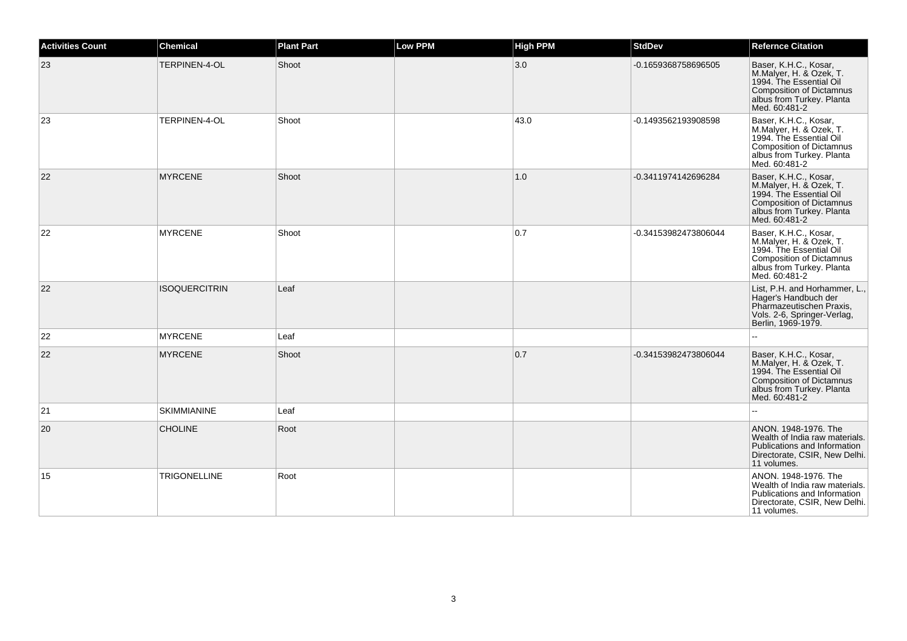| <b>Activities Count</b> | <b>Chemical</b>      | <b>Plant Part</b> | <b>Low PPM</b> | <b>High PPM</b> | <b>StdDev</b>        | <b>Refernce Citation</b>                                                                                                                                     |
|-------------------------|----------------------|-------------------|----------------|-----------------|----------------------|--------------------------------------------------------------------------------------------------------------------------------------------------------------|
| 23                      | TERPINEN-4-OL        | Shoot             |                | 3.0             | -0.1659368758696505  | Baser, K.H.C., Kosar,<br>M.Malyer, H. & Ozek, T.<br>1994. The Essential Oil<br>Composition of Dictamnus<br>albus from Turkey. Planta<br>Med. 60:481-2        |
| 23                      | TERPINEN-4-OL        | Shoot             |                | 43.0            | -0.1493562193908598  | Baser, K.H.C., Kosar,<br>M.Malyer, H. & Ozek, T.<br>1994. The Essential Oil<br>Composition of Dictamnus<br>albus from Turkey. Planta<br>Med. 60:481-2        |
| 22                      | <b>MYRCENE</b>       | Shoot             |                | 1.0             | -0.3411974142696284  | Baser, K.H.C., Kosar,<br>M.Malyer, H. & Ozek, T.<br>1994. The Essential Oil<br>Composition of Dictamnus<br>albus from Turkey. Planta<br>Med. 60:481-2        |
| 22                      | <b>MYRCENE</b>       | Shoot             |                | 0.7             | -0.34153982473806044 | Baser, K.H.C., Kosar,<br>M.Malyer, H. & Ozek, T.<br>1994. The Essential Oil<br><b>Composition of Dictamnus</b><br>albus from Turkey. Planta<br>Med. 60:481-2 |
| 22                      | <b>ISOQUERCITRIN</b> | Leaf              |                |                 |                      | List, P.H. and Horhammer, L.,<br>Hager's Handbuch der<br>Pharmazeutischen Praxis,<br>Vols. 2-6, Springer-Verlag,<br>Berlin, 1969-1979.                       |
| 22                      | <b>MYRCENE</b>       | Leaf              |                |                 |                      |                                                                                                                                                              |
| 22                      | <b>MYRCENE</b>       | Shoot             |                | 0.7             | -0.34153982473806044 | Baser, K.H.C., Kosar,<br>M.Malyer, H. & Ozek, T.<br>1994. The Essential Oil<br>Composition of Dictamnus<br>albus from Turkey. Planta<br>Med. 60:481-2        |
| 21                      | <b>SKIMMIANINE</b>   | Leaf              |                |                 |                      |                                                                                                                                                              |
| 20                      | <b>CHOLINE</b>       | Root              |                |                 |                      | ANON, 1948-1976. The<br>Wealth of India raw materials.<br>Publications and Information<br>Directorate, CSIR, New Delhi.<br>11 volumes.                       |
| 15                      | <b>TRIGONELLINE</b>  | Root              |                |                 |                      | ANON, 1948-1976, The<br>Wealth of India raw materials.<br>Publications and Information<br>Directorate, CSIR, New Delhi.<br>11 volumes.                       |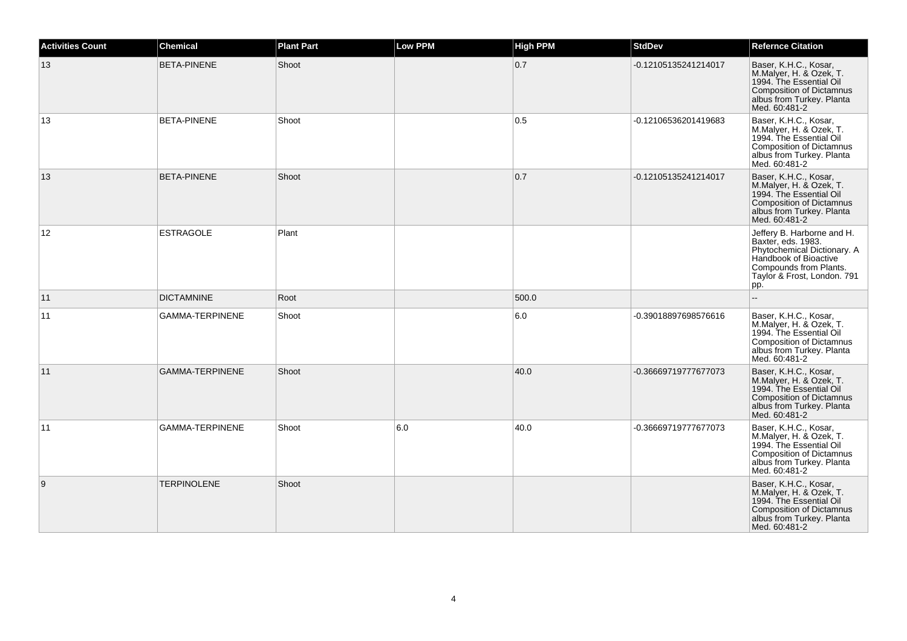| <b>Activities Count</b> | Chemical               | <b>Plant Part</b> | <b>Low PPM</b> | <b>High PPM</b> | <b>StdDev</b>        | <b>Refernce Citation</b>                                                                                                                                                 |
|-------------------------|------------------------|-------------------|----------------|-----------------|----------------------|--------------------------------------------------------------------------------------------------------------------------------------------------------------------------|
| 13                      | <b>BETA-PINENE</b>     | Shoot             |                | 0.7             | -0.12105135241214017 | Baser, K.H.C., Kosar,<br>M.Malyer, H. & Ozek, T.<br>1994. The Essential Oil<br>Composition of Dictamnus<br>albus from Turkey. Planta<br>Med. 60:481-2                    |
| 13                      | <b>BETA-PINENE</b>     | Shoot             |                | 0.5             | -0.12106536201419683 | Baser, K.H.C., Kosar,<br>M.Malyer, H. & Ozek, T.<br>1994. The Essential Oil<br>Composition of Dictamnus<br>albus from Turkey. Planta<br>Med. 60:481-2                    |
| 13                      | <b>BETA-PINENE</b>     | Shoot             |                | 0.7             | -0.12105135241214017 | Baser, K.H.C., Kosar,<br>M.Malyer, H. & Ozek, T.<br>1994. The Essential Oil<br>Composition of Dictamnus<br>albus from Turkey. Planta<br>Med. 60:481-2                    |
| $12 \overline{ }$       | <b>ESTRAGOLE</b>       | Plant             |                |                 |                      | Jeffery B. Harborne and H.<br>Baxter, eds. 1983.<br>Phytochemical Dictionary. A<br>Handbook of Bioactive<br>Compounds from Plants.<br>Taylor & Frost, London. 791<br>pp. |
| 11                      | <b>DICTAMNINE</b>      | Root              |                | 500.0           |                      |                                                                                                                                                                          |
| 11                      | <b>GAMMA-TERPINENE</b> | Shoot             |                | 6.0             | -0.39018897698576616 | Baser, K.H.C., Kosar,<br>M.Malyer, H. & Ozek, T.<br>1994. The Essential Oil<br>Composition of Dictamnus<br>albus from Turkey. Planta<br>Med. 60:481-2                    |
| 11                      | <b>GAMMA-TERPINENE</b> | Shoot             |                | 40.0            | -0.36669719777677073 | Baser, K.H.C., Kosar,<br>M.Malyer, H. & Ozek, T.<br>1994. The Essential Oil<br><b>Composition of Dictamnus</b><br>albus from Turkey. Planta<br>Med. 60:481-2             |
| 11                      | <b>GAMMA-TERPINENE</b> | Shoot             | 6.0            | 40.0            | -0.36669719777677073 | Baser, K.H.C., Kosar,<br>M.Malyer, H. & Ozek, T.<br>1994. The Essential Oil<br>Composition of Dictamnus<br>albus from Turkey. Planta<br>Med. 60:481-2                    |
| 9                       | <b>TERPINOLENE</b>     | Shoot             |                |                 |                      | Baser, K.H.C., Kosar,<br>M.Malyer, H. & Ozek, T.<br>1994. The Essential Oil<br>Composition of Dictamnus<br>albus from Turkey. Planta<br>Med. 60:481-2                    |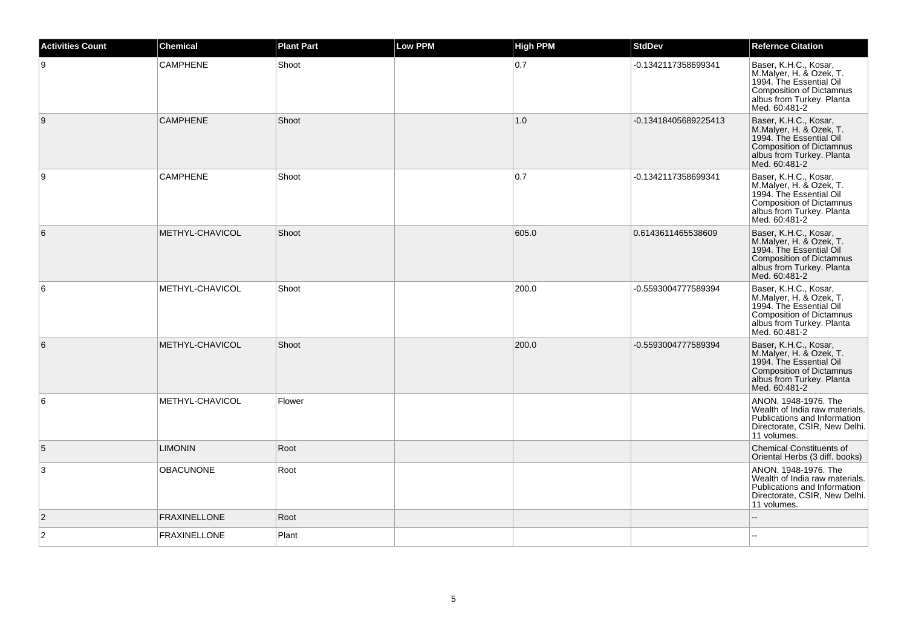| <b>Activities Count</b> | <b>Chemical</b>     | <b>Plant Part</b> | <b>Low PPM</b> | <b>High PPM</b> | <b>StdDev</b>        | <b>Refernce Citation</b>                                                                                                                                     |
|-------------------------|---------------------|-------------------|----------------|-----------------|----------------------|--------------------------------------------------------------------------------------------------------------------------------------------------------------|
| 9                       | <b>CAMPHENE</b>     | Shoot             |                | 0.7             | -0.1342117358699341  | Baser, K.H.C., Kosar,<br>M.Malyer, H. & Ozek, T.<br>1994. The Essential Oil<br><b>Composition of Dictamnus</b><br>albus from Turkey. Planta<br>Med. 60:481-2 |
| 9                       | <b>CAMPHENE</b>     | Shoot             |                | 1.0             | -0.13418405689225413 | Baser, K.H.C., Kosar,<br>M.Malyer, H. & Ozek, T.<br>1994. The Essential Oil<br>Composition of Dictamnus<br>albus from Turkey. Planta<br>Med. 60:481-2        |
| 9                       | <b>CAMPHENE</b>     | Shoot             |                | 0.7             | -0.1342117358699341  | Baser, K.H.C., Kosar,<br>M.Malyer, H. & Ozek, T.<br>1994. The Essential Oil<br><b>Composition of Dictamnus</b><br>albus from Turkey. Planta<br>Med. 60:481-2 |
| 6                       | METHYL-CHAVICOL     | Shoot             |                | 605.0           | 0.6143611465538609   | Baser, K.H.C., Kosar,<br>M.Malyer, H. & Ozek, T.<br>1994. The Essential Oil<br><b>Composition of Dictamnus</b><br>albus from Turkey. Planta<br>Med. 60:481-2 |
| 6                       | METHYL-CHAVICOL     | Shoot             |                | 200.0           | -0.5593004777589394  | Baser, K.H.C., Kosar,<br>M.Malyer, H. & Ozek, T.<br>1994. The Essential Oil<br><b>Composition of Dictamnus</b><br>albus from Turkey. Planta<br>Med. 60:481-2 |
| 6                       | METHYL-CHAVICOL     | Shoot             |                | 200.0           | -0.5593004777589394  | Baser, K.H.C., Kosar,<br>M.Malyer, H. & Ozek, T.<br>1994. The Essential Oil<br><b>Composition of Dictamnus</b><br>albus from Turkey. Planta<br>Med. 60:481-2 |
| 6                       | METHYL-CHAVICOL     | Flower            |                |                 |                      | ANON. 1948-1976. The<br>Wealth of India raw materials.<br>Publications and Information<br>Directorate, CSIR, New Delhi.<br>11 volumes.                       |
| 5                       | <b>LIMONIN</b>      | Root              |                |                 |                      | <b>Chemical Constituents of</b><br>Oriental Herbs (3 diff. books)                                                                                            |
| 3                       | <b>OBACUNONE</b>    | Root              |                |                 |                      | ANON. 1948-1976. The<br>Wealth of India raw materials.<br>Publications and Information<br>Directorate, CSIR, New Delhi.<br>11 volumes.                       |
| 2                       | <b>FRAXINELLONE</b> | Root              |                |                 |                      |                                                                                                                                                              |
| $\overline{2}$          | <b>FRAXINELLONE</b> | Plant             |                |                 |                      |                                                                                                                                                              |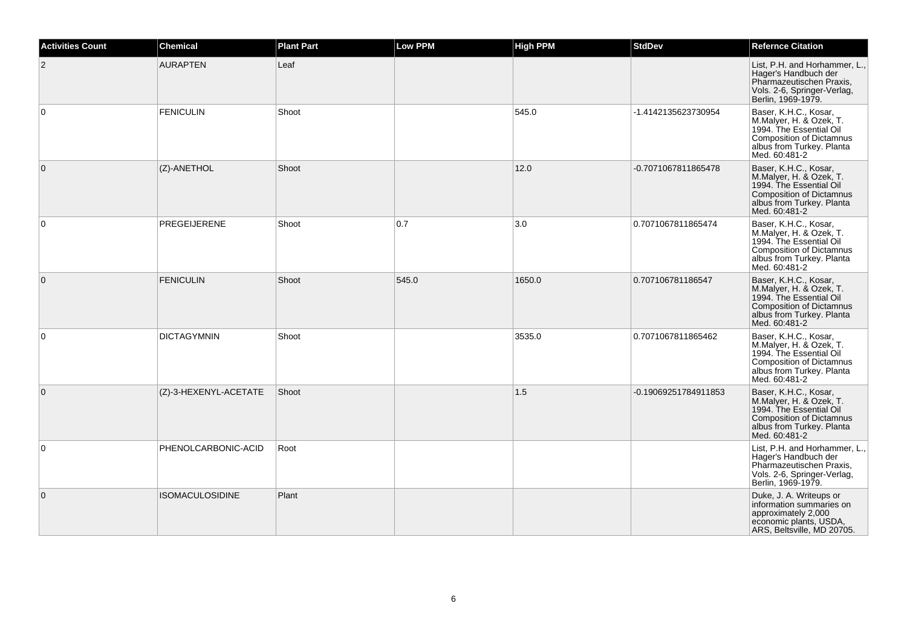| <b>Activities Count</b> | <b>Chemical</b>        | <b>Plant Part</b> | <b>Low PPM</b> | <b>High PPM</b> | <b>StdDev</b>        | <b>Refernce Citation</b>                                                                                                                                     |
|-------------------------|------------------------|-------------------|----------------|-----------------|----------------------|--------------------------------------------------------------------------------------------------------------------------------------------------------------|
| $\overline{2}$          | <b>AURAPTEN</b>        | Leaf              |                |                 |                      | List, P.H. and Horhammer, L.,<br>Hager's Handbuch der<br>Pharmazeutischen Praxis,<br>Vols. 2-6, Springer-Verlag,<br>Berlin, 1969-1979.                       |
| $\mathbf 0$             | <b>FENICULIN</b>       | Shoot             |                | 545.0           | -1.4142135623730954  | Baser, K.H.C., Kosar,<br>M.Malyer, H. & Ozek, T.<br>1994. The Essential Oil<br>Composition of Dictamnus<br>albus from Turkey. Planta<br>Med. 60:481-2        |
| $\mathbf 0$             | (Z)-ANETHOL            | Shoot             |                | 12.0            | -0.7071067811865478  | Baser, K.H.C., Kosar,<br>M.Malyer, H. & Ozek, T.<br>1994. The Essential Oil<br><b>Composition of Dictamnus</b><br>albus from Turkey. Planta<br>Med. 60:481-2 |
| 0                       | <b>PREGEIJERENE</b>    | Shoot             | 0.7            | 3.0             | 0.7071067811865474   | Baser, K.H.C., Kosar,<br>M.Malyer, H. & Ozek, T.<br>1994. The Essential Oil<br><b>Composition of Dictamnus</b><br>albus from Turkey. Planta<br>Med. 60:481-2 |
| $\mathbf{0}$            | <b>FENICULIN</b>       | Shoot             | 545.0          | 1650.0          | 0.707106781186547    | Baser, K.H.C., Kosar,<br>M.Malyer, H. & Ozek, T.<br>1994. The Essential Oil<br>Composition of Dictamnus<br>albus from Turkey. Planta<br>Med. 60:481-2        |
| 0                       | <b>DICTAGYMNIN</b>     | Shoot             |                | 3535.0          | 0.7071067811865462   | Baser, K.H.C., Kosar,<br>M.Malyer, H. & Ozek, T.<br>1994. The Essential Oil<br><b>Composition of Dictamnus</b><br>albus from Turkey. Planta<br>Med. 60:481-2 |
| $\mathbf 0$             | (Z)-3-HEXENYL-ACETATE  | Shoot             |                | 1.5             | -0.19069251784911853 | Baser, K.H.C., Kosar,<br>M.Malyer, H. & Ozek, T.<br>1994. The Essential Oil<br>Composition of Dictamnus<br>albus from Turkey. Planta<br>Med. 60:481-2        |
| $\Omega$                | PHENOLCARBONIC-ACID    | Root              |                |                 |                      | List, P.H. and Horhammer, L.,<br>Hager's Handbuch der<br>Pharmazeutischen Praxis,<br>Vols. 2-6, Springer-Verlag,<br>Berlin, 1969-1979.                       |
| $\mathbf 0$             | <b>ISOMACULOSIDINE</b> | Plant             |                |                 |                      | Duke, J. A. Writeups or<br>information summaries on<br>approximately 2,000<br>economic plants, USDA,<br>ARS, Beltsville, MD 20705.                           |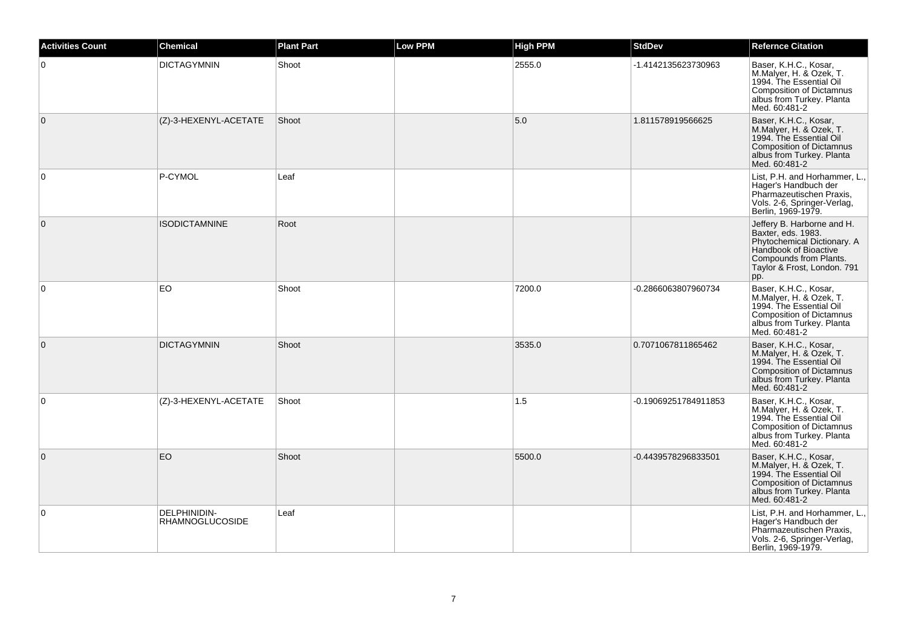| <b>Activities Count</b> | <b>Chemical</b>                        | <b>Plant Part</b> | <b>Low PPM</b> | <b>High PPM</b> | <b>StdDev</b>        | <b>Refernce Citation</b>                                                                                                                                                 |
|-------------------------|----------------------------------------|-------------------|----------------|-----------------|----------------------|--------------------------------------------------------------------------------------------------------------------------------------------------------------------------|
| 0                       | <b>DICTAGYMNIN</b>                     | Shoot             |                | 2555.0          | -1.4142135623730963  | Baser, K.H.C., Kosar,<br>M.Malyer, H. & Ozek, T.<br>1994. The Essential Oil<br>Composition of Dictamnus<br>albus from Turkey. Planta<br>Med. 60:481-2                    |
| $\mathbf{0}$            | (Z)-3-HEXENYL-ACETATE                  | Shoot             |                | 5.0             | 1.811578919566625    | Baser, K.H.C., Kosar,<br>M.Malyer, H. & Ozek, T.<br>1994. The Essential Oil<br>Composition of Dictamnus<br>albus from Turkey. Planta<br>Med. 60:481-2                    |
| $\Omega$                | P-CYMOL                                | Leaf              |                |                 |                      | List, P.H. and Horhammer, L.,<br>Hager's Handbuch der<br>Pharmazeutischen Praxis,<br>Vols. 2-6, Springer-Verlag,<br>Berlin, 1969-1979.                                   |
| $\overline{0}$          | <b>ISODICTAMNINE</b>                   | Root              |                |                 |                      | Jeffery B. Harborne and H.<br>Baxter, eds. 1983.<br>Phytochemical Dictionary. A<br>Handbook of Bioactive<br>Compounds from Plants.<br>Taylor & Frost, London. 791<br>pp. |
| 0                       | EO                                     | Shoot             |                | 7200.0          | -0.2866063807960734  | Baser, K.H.C., Kosar,<br>M.Malyer, H. & Ozek, T.<br>1994. The Essential Oil<br>Composition of Dictamnus<br>albus from Turkey. Planta<br>Med. 60:481-2                    |
| $\mathbf{0}$            | <b>DICTAGYMNIN</b>                     | Shoot             |                | 3535.0          | 0.7071067811865462   | Baser, K.H.C., Kosar,<br>M.Malyer, H. & Ozek, T.<br>1994. The Essential Oil<br>Composition of Dictamnus<br>albus from Turkey. Planta<br>Med. 60:481-2                    |
| 0                       | (Z)-3-HEXENYL-ACETATE                  | Shoot             |                | 1.5             | -0.19069251784911853 | Baser, K.H.C., Kosar,<br>M.Malyer, H. & Ozek, T.<br>1994. The Essential Oil<br>Composition of Dictamnus<br>albus from Turkey. Planta<br>Med. 60:481-2                    |
| $\mathbf{0}$            | <b>EO</b>                              | Shoot             |                | 5500.0          | -0.4439578296833501  | Baser, K.H.C., Kosar,<br>M.Malyer, H. & Ozek, T.<br>1994. The Essential Oil<br>Composition of Dictamnus<br>albus from Turkey. Planta<br>Med. 60:481-2                    |
| 0                       | DELPHINIDIN-<br><b>RHAMNOGLUCOSIDE</b> | Leaf              |                |                 |                      | List, P.H. and Horhammer, L.,<br>Hager's Handbuch der<br>Pharmazeutischen Praxis,<br>Vols. 2-6, Springer-Verlag,<br>Berlin, 1969-1979.                                   |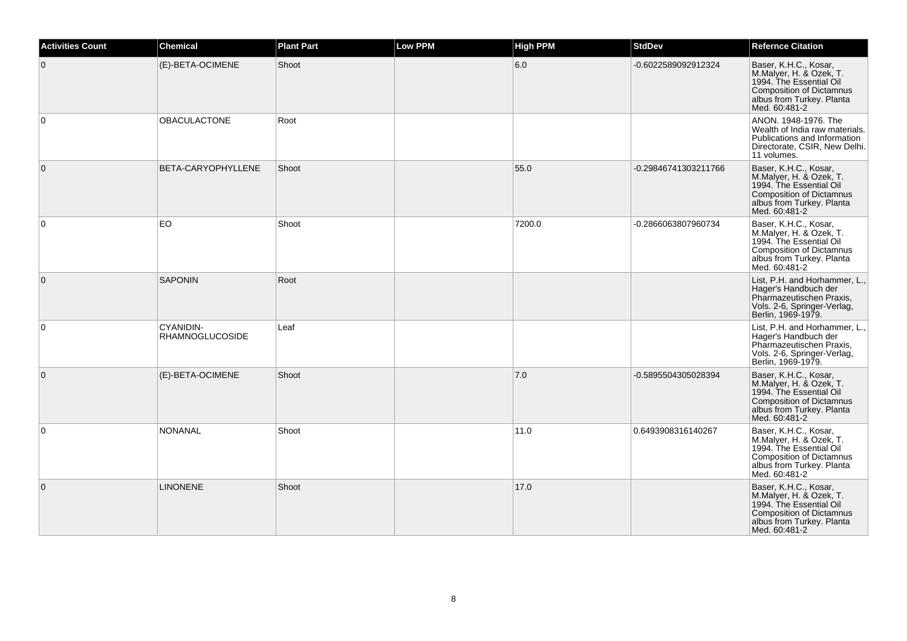| <b>Activities Count</b> | <b>Chemical</b>                     | <b>Plant Part</b> | <b>Low PPM</b> | <b>High PPM</b> | <b>StdDev</b>        | <b>Refernce Citation</b>                                                                                                                                     |
|-------------------------|-------------------------------------|-------------------|----------------|-----------------|----------------------|--------------------------------------------------------------------------------------------------------------------------------------------------------------|
| $\overline{0}$          | (E)-BETA-OCIMENE                    | Shoot             |                | 6.0             | -0.6022589092912324  | Baser, K.H.C., Kosar,<br>M.Malyer, H. & Ozek, T.<br>1994. The Essential Oil<br>Composition of Dictamnus<br>albus from Turkey. Planta<br>Med. 60:481-2        |
| $\overline{0}$          | <b>OBACULACTONE</b>                 | Root              |                |                 |                      | ANON, 1948-1976. The<br>Wealth of India raw materials.<br>Publications and Information<br>Directorate, CSIR, New Delhi.<br>11 volumes.                       |
| $\overline{0}$          | <b>BETA-CARYOPHYLLENE</b>           | Shoot             |                | 55.0            | -0.29846741303211766 | Baser, K.H.C., Kosar,<br>M.Malyer, H. & Ozek, T.<br>1994. The Essential Oil<br><b>Composition of Dictamnus</b><br>albus from Turkey. Planta<br>Med. 60:481-2 |
| $\overline{0}$          | EO                                  | Shoot             |                | 7200.0          | -0.2866063807960734  | Baser, K.H.C., Kosar,<br>M.Malyer, H. & Ozek, T.<br>1994. The Essential Oil<br>Composition of Dictamnus<br>albus from Turkey. Planta<br>Med. 60:481-2        |
| $\overline{0}$          | <b>SAPONIN</b>                      | Root              |                |                 |                      | List, P.H. and Horhammer, L.,<br>Hager's Handbuch der<br>Pharmazeutischen Praxis,<br>Vols. 2-6, Springer-Verlag,<br>Berlin, 1969-1979.                       |
| $\overline{0}$          | CYANIDIN-<br><b>RHAMNOGLUCOSIDE</b> | Leaf              |                |                 |                      | List, P.H. and Horhammer, L.,<br>Hager's Handbuch der<br>Pharmazeutischen Praxis,<br>Vols. 2-6, Springer-Verlag,<br>Berlin, 1969-1979.                       |
| $\overline{0}$          | (E)-BETA-OCIMENE                    | Shoot             |                | 7.0             | -0.5895504305028394  | Baser, K.H.C., Kosar,<br>M.Malyer, H. & Ozek, T.<br>1994. The Essential Oil<br>Composition of Dictamnus<br>albus from Turkey. Planta<br>Med. 60:481-2        |
| $\overline{0}$          | NONANAL                             | Shoot             |                | 11.0            | 0.6493908316140267   | Baser, K.H.C., Kosar,<br>M.Malyer, H. & Ozek, T.<br>1994. The Essential Oil<br>Composition of Dictamnus<br>albus from Turkey. Planta<br>Med. 60:481-2        |
| $\overline{0}$          | <b>LINONENE</b>                     | Shoot             |                | 17.0            |                      | Baser, K.H.C., Kosar,<br>M.Malyer, H. & Ozek, T.<br>1994. The Essential Oil<br>Composition of Dictamnus<br>albus from Turkey. Planta<br>Med. 60:481-2        |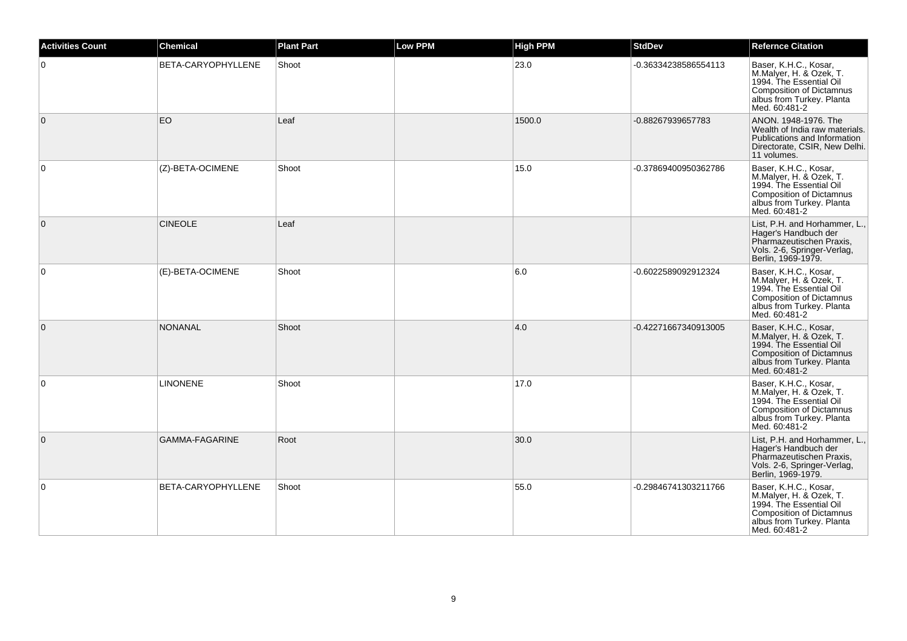| <b>Activities Count</b> | <b>Chemical</b>       | <b>Plant Part</b> | <b>Low PPM</b> | <b>High PPM</b> | <b>StdDev</b>        | <b>Refernce Citation</b>                                                                                                                              |
|-------------------------|-----------------------|-------------------|----------------|-----------------|----------------------|-------------------------------------------------------------------------------------------------------------------------------------------------------|
| 0                       | BETA-CARYOPHYLLENE    | Shoot             |                | 23.0            | -0.36334238586554113 | Baser, K.H.C., Kosar,<br>M.Malyer, H. & Ozek, T.<br>1994. The Essential Oil<br>Composition of Dictamnus<br>albus from Turkey. Planta<br>Med. 60:481-2 |
| $\overline{0}$          | EO                    | Leaf              |                | 1500.0          | -0.88267939657783    | ANON. 1948-1976. The<br>Wealth of India raw materials.<br>Publications and Information<br>Directorate, CSIR, New Delhi.<br>11 volumes.                |
| $\Omega$                | (Z)-BETA-OCIMENE      | Shoot             |                | 15.0            | -0.37869400950362786 | Baser, K.H.C., Kosar,<br>M.Malyer, H. & Ozek, T.<br>1994. The Essential Oil<br>Composition of Dictamnus<br>albus from Turkey. Planta<br>Med. 60:481-2 |
| $\overline{0}$          | <b>CINEOLE</b>        | Leaf              |                |                 |                      | List, P.H. and Horhammer, L.,<br>Hager's Handbuch der<br>Pharmazeutischen Praxis,<br>Vols. 2-6, Springer-Verlag,<br>Berlin, 1969-1979.                |
| 0                       | (E)-BETA-OCIMENE      | Shoot             |                | 6.0             | -0.6022589092912324  | Baser, K.H.C., Kosar,<br>M.Malyer, H. & Ozek, T.<br>1994. The Essential Oil<br>Composition of Dictamnus<br>albus from Turkey. Planta<br>Med. 60:481-2 |
| $\overline{0}$          | <b>NONANAL</b>        | Shoot             |                | 4.0             | -0.42271667340913005 | Baser, K.H.C., Kosar,<br>M.Malyer, H. & Ozek, T.<br>1994. The Essential Oil<br>Composition of Dictamnus<br>albus from Turkey. Planta<br>Med. 60:481-2 |
| 0                       | <b>LINONENE</b>       | Shoot             |                | 17.0            |                      | Baser, K.H.C., Kosar,<br>M.Malyer, H. & Ozek, T.<br>1994. The Essential Oil<br>Composition of Dictamnus<br>albus from Turkey. Planta<br>Med. 60:481-2 |
| 0                       | <b>GAMMA-FAGARINE</b> | Root              |                | 30.0            |                      | List, P.H. and Horhammer, L.,<br>Hager's Handbuch der<br>Pharmazeutischen Praxis.<br>Vols. 2-6, Springer-Verlag,<br>Berlin, 1969-1979.                |
| $\mathbf 0$             | BETA-CARYOPHYLLENE    | Shoot             |                | 55.0            | -0.29846741303211766 | Baser, K.H.C., Kosar,<br>M.Malyer, H. & Ozek, T.<br>1994. The Essential Oil<br>Composition of Dictamnus<br>albus from Turkey. Planta<br>Med. 60:481-2 |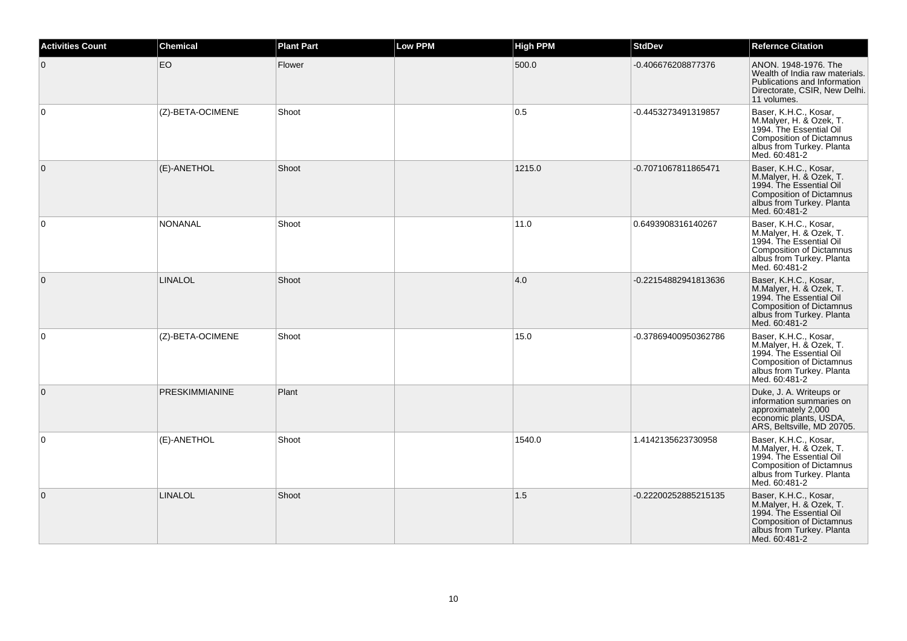| <b>Activities Count</b> | <b>Chemical</b>  | <b>Plant Part</b> | <b>Low PPM</b> | <b>High PPM</b> | <b>StdDev</b>        | <b>Refernce Citation</b>                                                                                                                                     |
|-------------------------|------------------|-------------------|----------------|-----------------|----------------------|--------------------------------------------------------------------------------------------------------------------------------------------------------------|
| $\overline{0}$          | EO               | Flower            |                | 500.0           | -0.406676208877376   | ANON, 1948-1976. The<br>Wealth of India raw materials.<br>Publications and Information<br>Directorate, CSIR, New Delhi.<br>11 volumes.                       |
| 0                       | (Z)-BETA-OCIMENE | Shoot             |                | 0.5             | -0.4453273491319857  | Baser, K.H.C., Kosar,<br>M.Malyer, H. & Ozek, T.<br>1994. The Essential Oil<br>Composition of Dictamnus<br>albus from Turkey. Planta<br>Med. 60:481-2        |
| $\overline{0}$          | (E)-ANETHOL      | Shoot             |                | 1215.0          | -0.7071067811865471  | Baser, K.H.C., Kosar,<br>M.Malyer, H. & Ozek, T.<br>1994. The Essential Oil<br>Composition of Dictamnus<br>albus from Turkey. Planta<br>Med. 60:481-2        |
| 0                       | <b>NONANAL</b>   | Shoot             |                | 11.0            | 0.6493908316140267   | Baser, K.H.C., Kosar,<br>M.Malyer, H. & Ozek, T.<br>1994. The Essential Oil<br>Composition of Dictamnus<br>albus from Turkey. Planta<br>Med. 60:481-2        |
| $\overline{0}$          | <b>LINALOL</b>   | Shoot             |                | 4.0             | -0.22154882941813636 | Baser, K.H.C., Kosar,<br>M.Malyer, H. & Ozek, T.<br>1994. The Essential Oil<br>Composition of Dictamnus<br>albus from Turkey. Planta<br>Med. 60:481-2        |
| 0                       | (Z)-BETA-OCIMENE | Shoot             |                | 15.0            | -0.37869400950362786 | Baser, K.H.C., Kosar,<br>M.Malyer, H. & Ozek, T.<br>1994. The Essential Oil<br><b>Composition of Dictamnus</b><br>albus from Turkey. Planta<br>Med. 60:481-2 |
| $\overline{0}$          | PRESKIMMIANINE   | Plant             |                |                 |                      | Duke, J. A. Writeups or<br>information summaries on<br>approximately 2,000<br>economic plants, USDA,<br>ARS, Beltsville, MD 20705.                           |
| $\overline{0}$          | (E)-ANETHOL      | Shoot             |                | 1540.0          | 1.4142135623730958   | Baser, K.H.C., Kosar,<br>M.Malyer, H. & Ozek, T.<br>1994. The Essential Oil<br>Composition of Dictamnus<br>albus from Turkey. Planta<br>Med. 60:481-2        |
| $\overline{0}$          | <b>LINALOL</b>   | Shoot             |                | 1.5             | -0.22200252885215135 | Baser, K.H.C., Kosar,<br>M.Malyer, H. & Ozek, T.<br>1994. The Essential Oil<br>Composition of Dictamnus<br>albus from Turkey. Planta<br>Med. 60:481-2        |